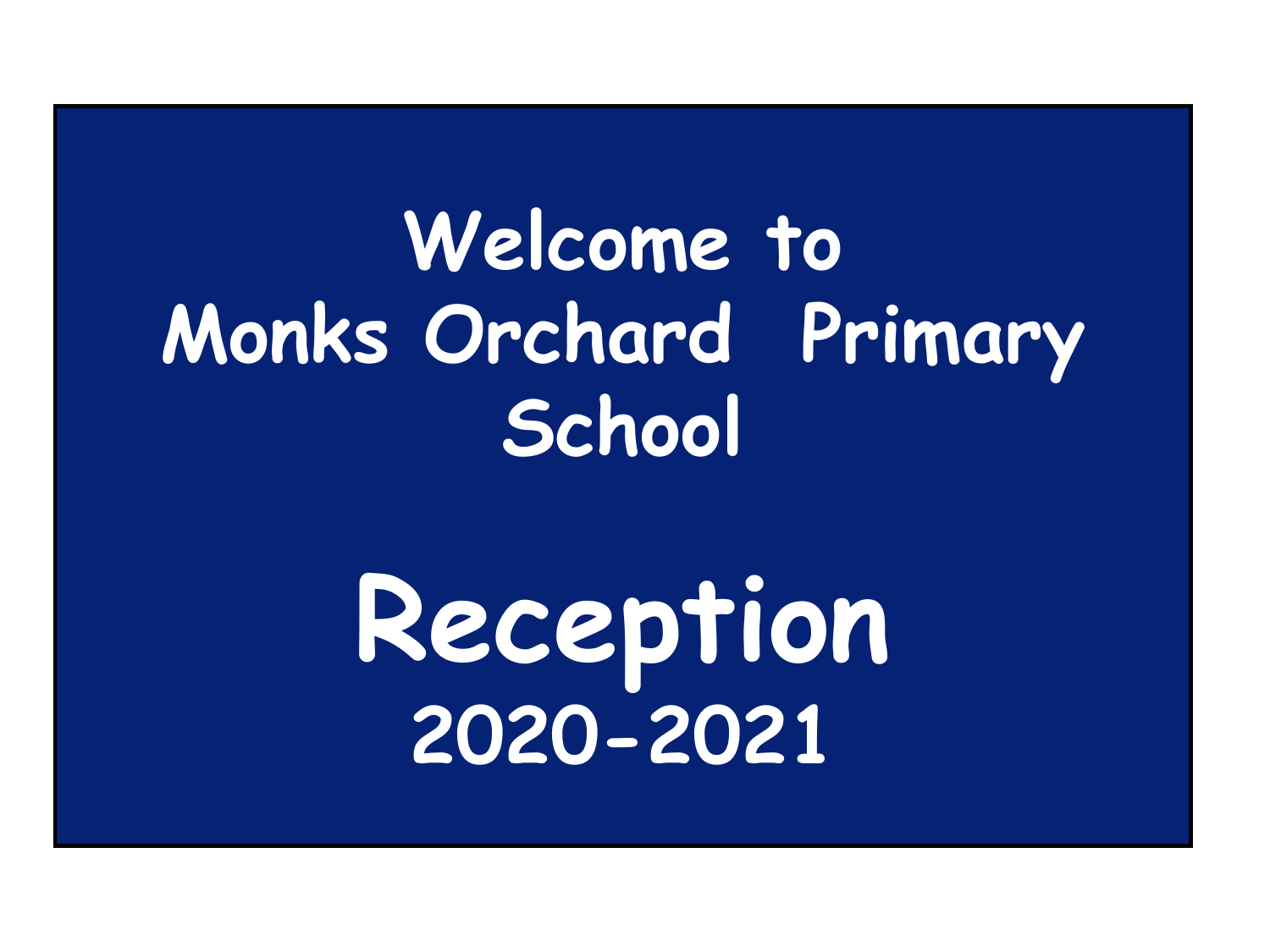#### **Welcome to Monks Orchard Primary School**

# **Reception 2020-2021**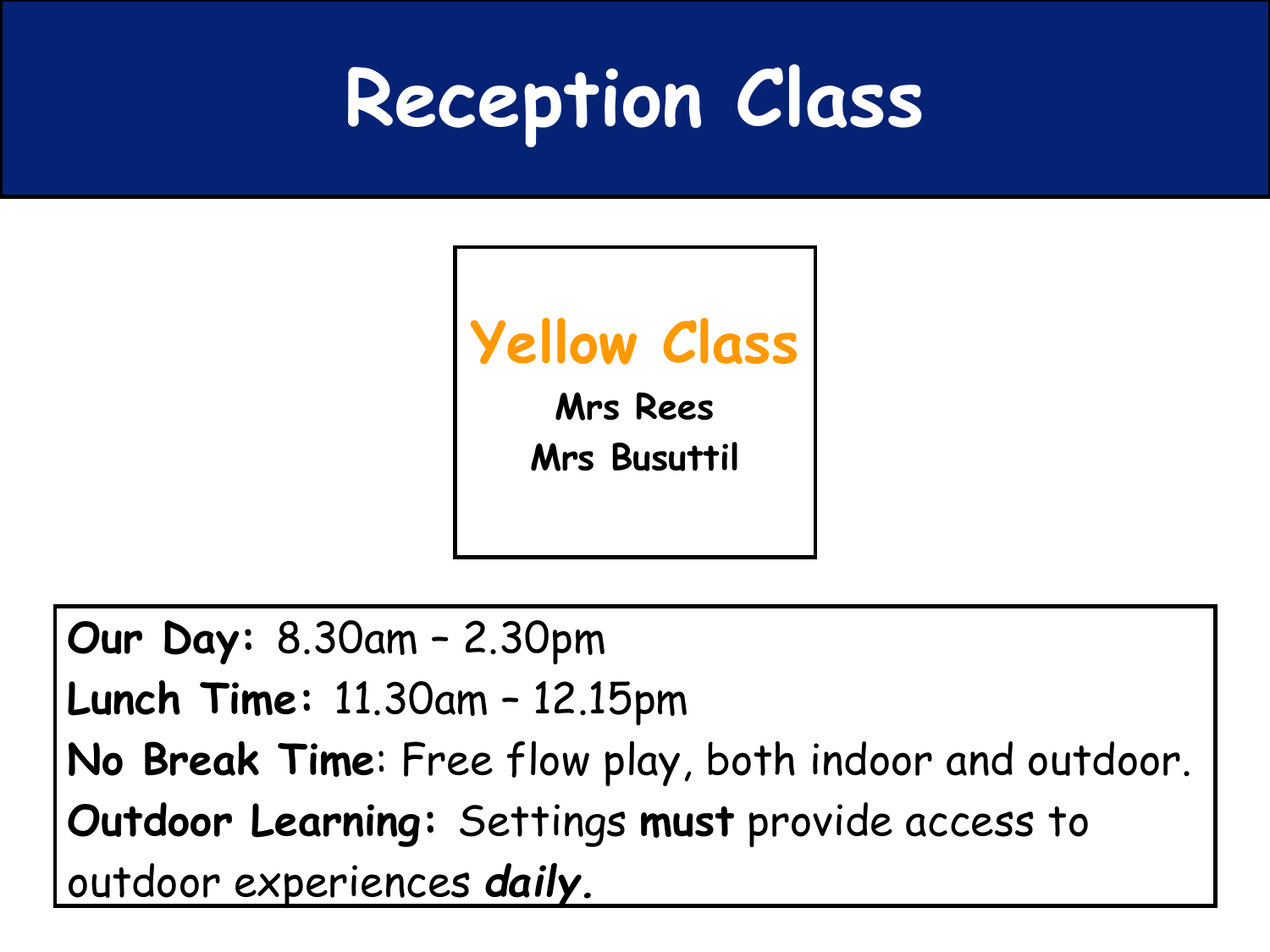### **Reception Class**



**Our Day:** 8.30am – 2.30pm **Lunch Time:** 11.30am – 12.15pm **No Break Time**: Free flow play, both indoor and outdoor. **Outdoor Learning:** Settings **must** provide access to outdoor experiences *daily.*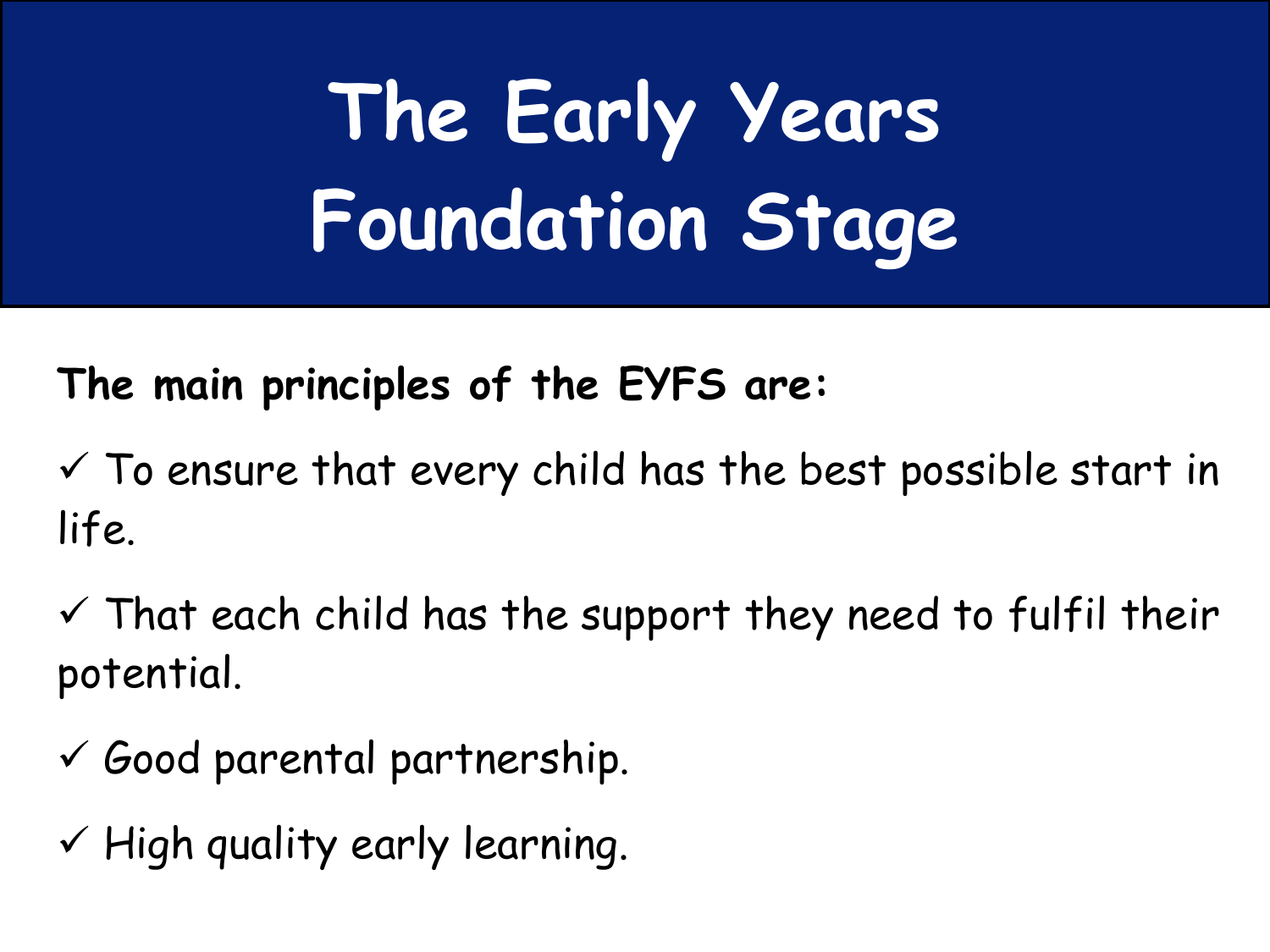# **The Early Years Foundation Stage**

**The main principles of the EYFS are:**

 $\checkmark$  To ensure that every child has the best possible start in life.

 $\checkmark$  That each child has the support they need to fulfil their potential.

- $\checkmark$  Good parental partnership.
- $\checkmark$  High quality early learning.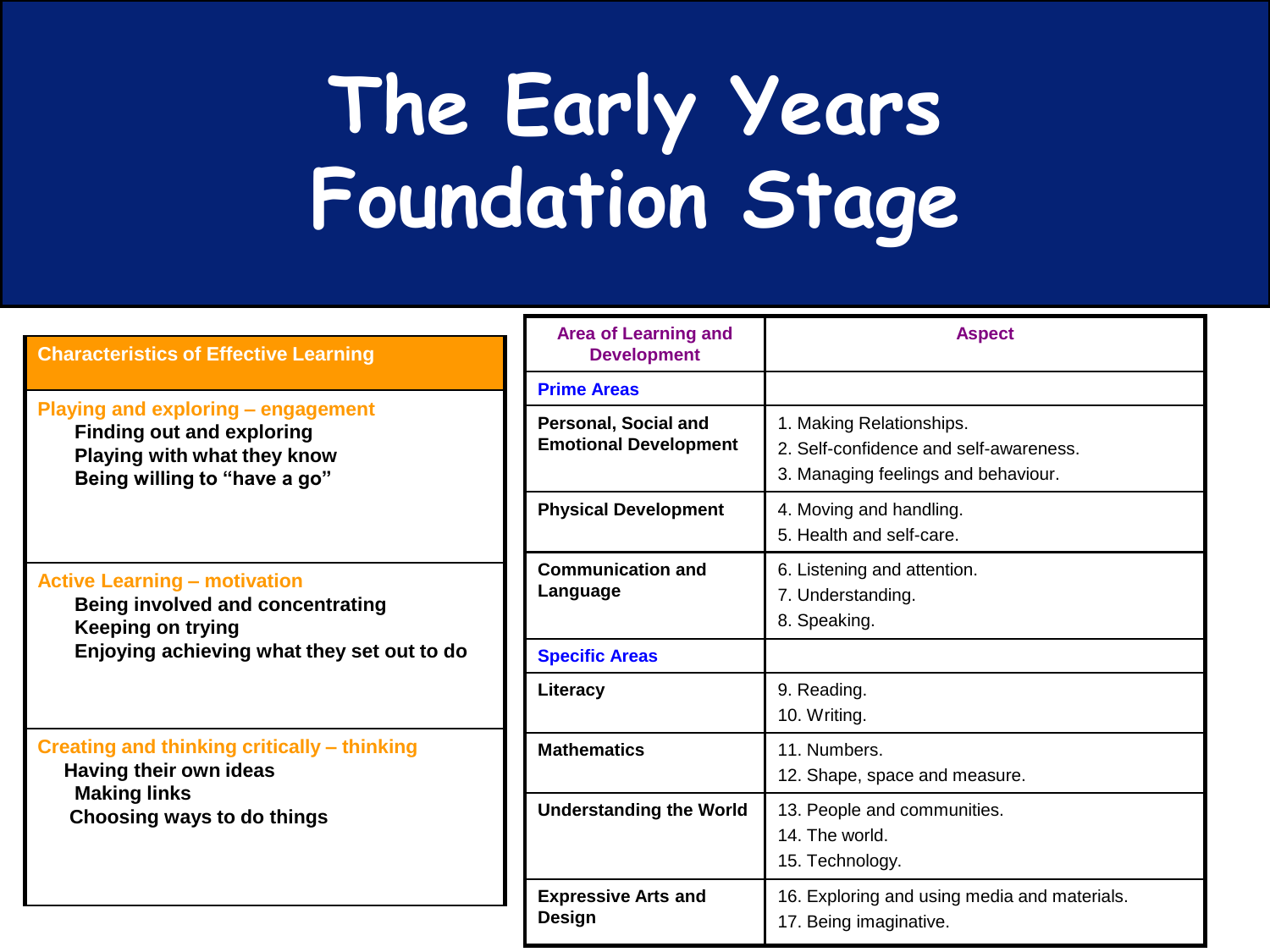## **The Early Years Foundation Stage**

| <b>Characteristics of Effective Learning</b>                                                                                                             | <b>Area of Learning and</b><br><b>Development</b>    | <b>Aspect</b>                                                                                             |
|----------------------------------------------------------------------------------------------------------------------------------------------------------|------------------------------------------------------|-----------------------------------------------------------------------------------------------------------|
|                                                                                                                                                          | <b>Prime Areas</b>                                   |                                                                                                           |
| <b>Playing and exploring - engagement</b><br><b>Finding out and exploring</b><br>Playing with what they know<br>Being willing to "have a go"             | Personal, Social and<br><b>Emotional Development</b> | 1. Making Relationships.<br>2. Self-confidence and self-awareness.<br>3. Managing feelings and behaviour. |
|                                                                                                                                                          | <b>Physical Development</b>                          | 4. Moving and handling.<br>5. Health and self-care.                                                       |
| <b>Active Learning - motivation</b><br><b>Being involved and concentrating</b><br><b>Keeping on trying</b><br>Enjoying achieving what they set out to do | <b>Communication and</b><br>Language                 | 6. Listening and attention.<br>7. Understanding.<br>8. Speaking.                                          |
|                                                                                                                                                          | <b>Specific Areas</b>                                |                                                                                                           |
|                                                                                                                                                          | Literacy                                             | 9. Reading.<br>10. Writing.                                                                               |
| Creating and thinking critically - thinking<br>Having their own ideas<br><b>Making links</b><br>Choosing ways to do things                               | <b>Mathematics</b>                                   | 11. Numbers.<br>12. Shape, space and measure.                                                             |
|                                                                                                                                                          | <b>Understanding the World</b>                       | 13. People and communities.<br>14. The world.<br>15. Technology.                                          |
|                                                                                                                                                          | <b>Expressive Arts and</b><br><b>Design</b>          | 16. Exploring and using media and materials.<br>17. Being imaginative.                                    |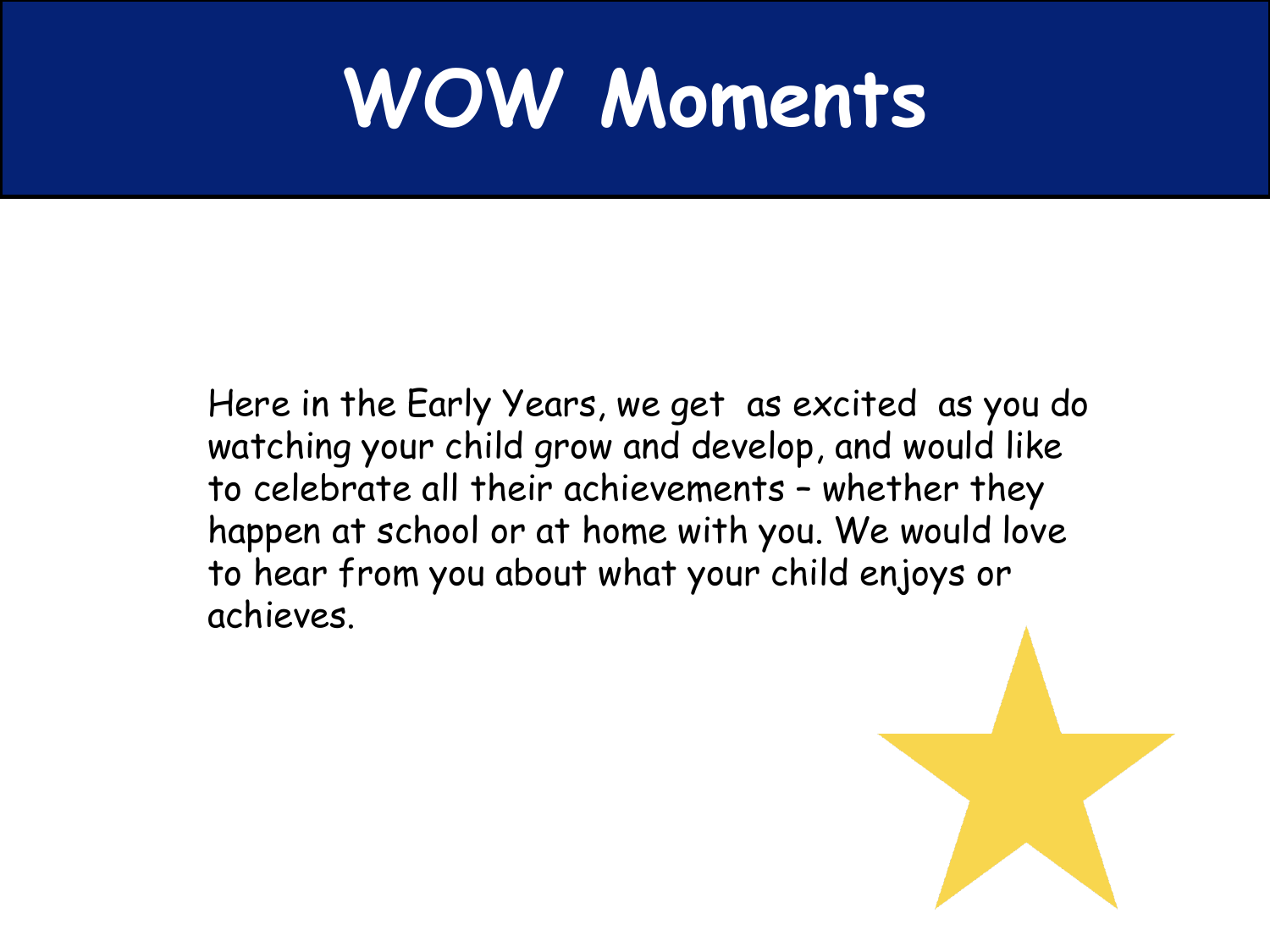#### **WOW Moments**

Here in the Early Years, we get as excited as you do watching your child grow and develop, and would like to celebrate all their achievements – whether they happen at school or at home with you. We would love to hear from you about what your child enjoys or achieves.

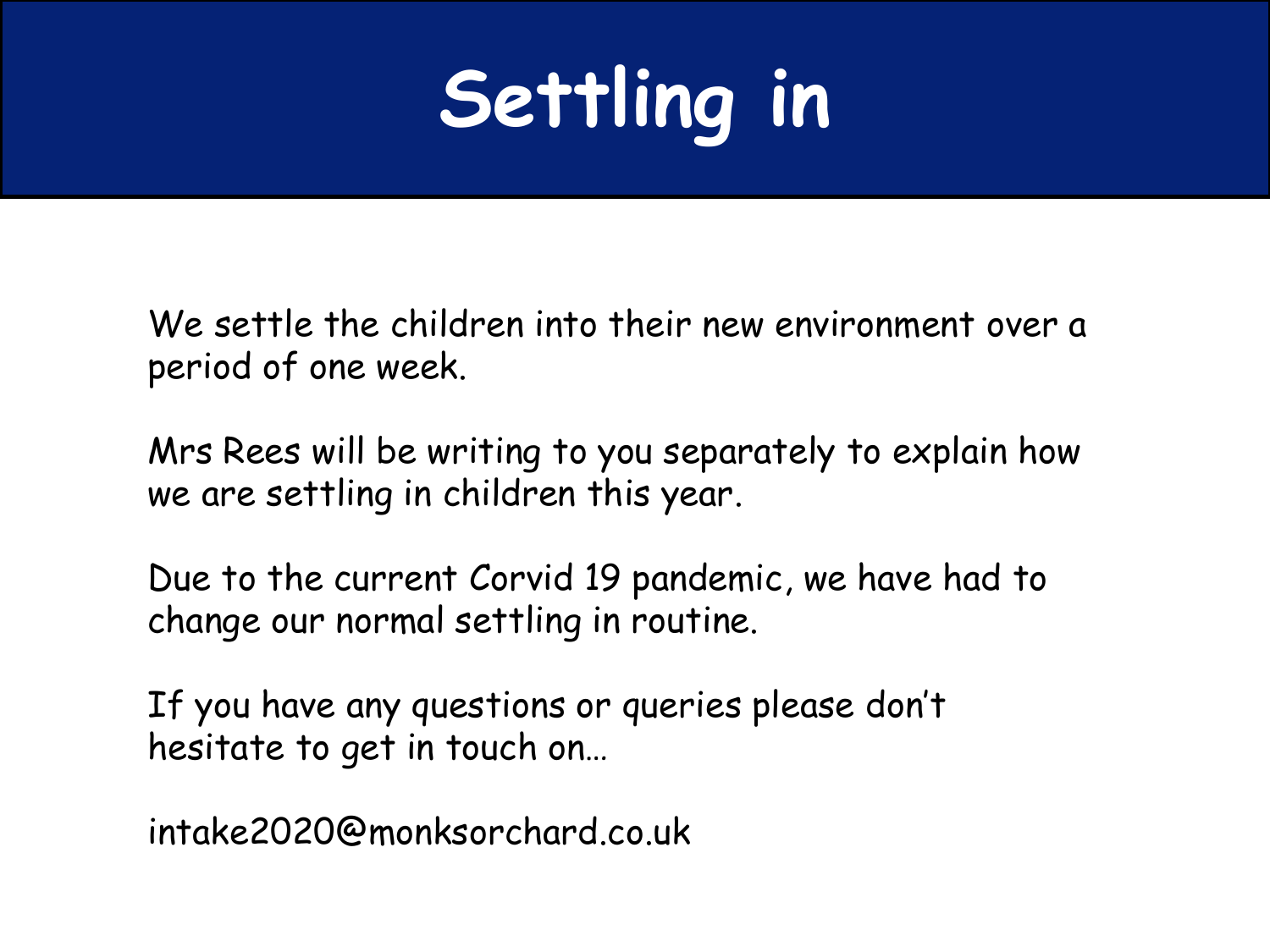### **Settling in**

We settle the children into their new environment over a period of one week.

Mrs Rees will be writing to you separately to explain how we are settling in children this year.

Due to the current Corvid 19 pandemic, we have had to change our normal settling in routine.

If you have any questions or queries please don't hesitate to get in touch on…

intake2020@monksorchard.co.uk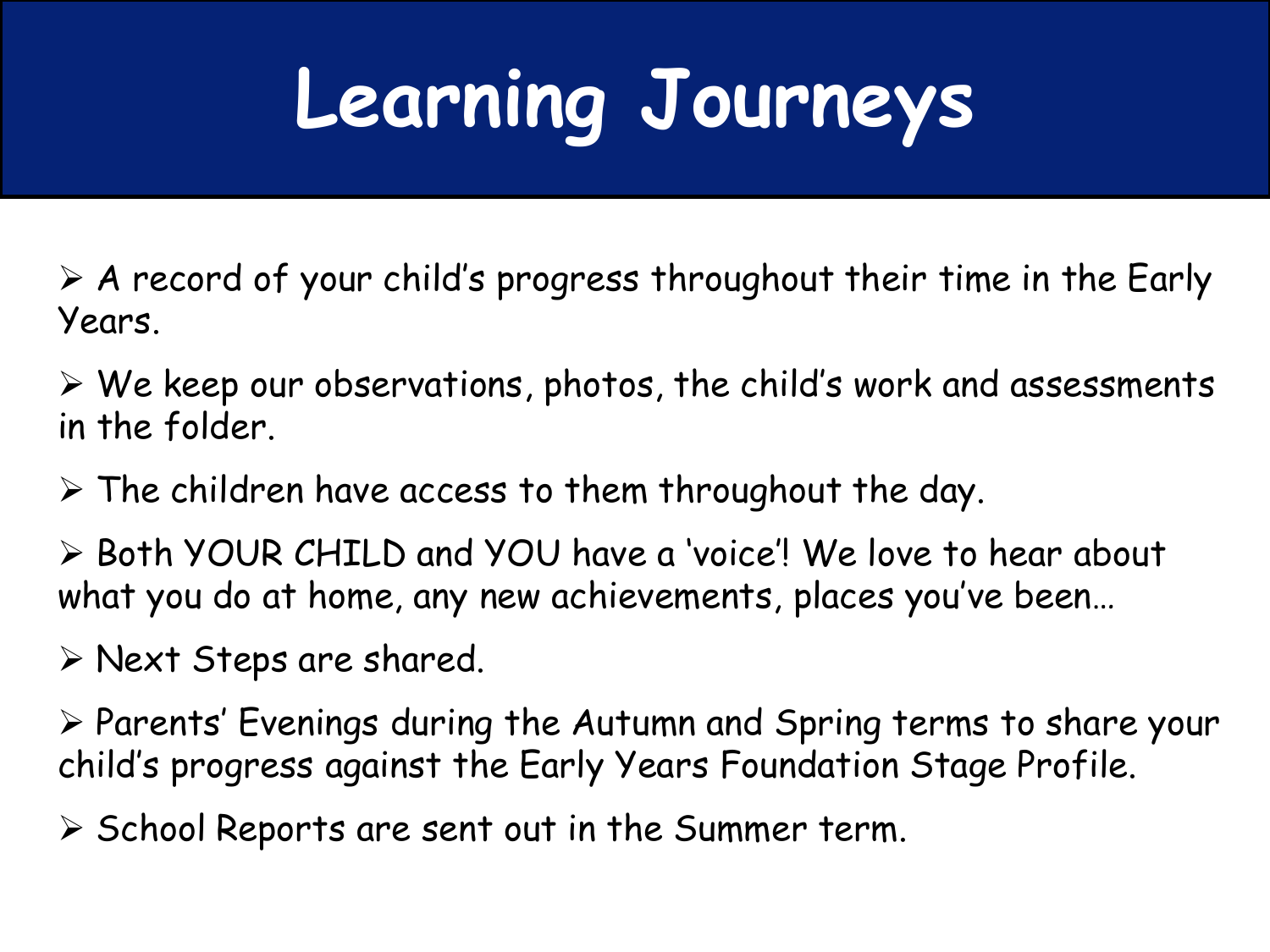# **Learning Journeys**

- $\triangleright$  A record of your child's progress throughout their time in the Early Years.
- $\triangleright$  We keep our observations, photos, the child's work and assessments in the folder.
- $\triangleright$  The children have access to them throughout the day.
- Both YOUR CHILD and YOU have a 'voice'! We love to hear about what you do at home, any new achievements, places you've been…
- $\triangleright$  Next Steps are shared.
- $\triangleright$  Parents' Evenings during the Autumn and Spring terms to share your child's progress against the Early Years Foundation Stage Profile.
- $\triangleright$  School Reports are sent out in the Summer term.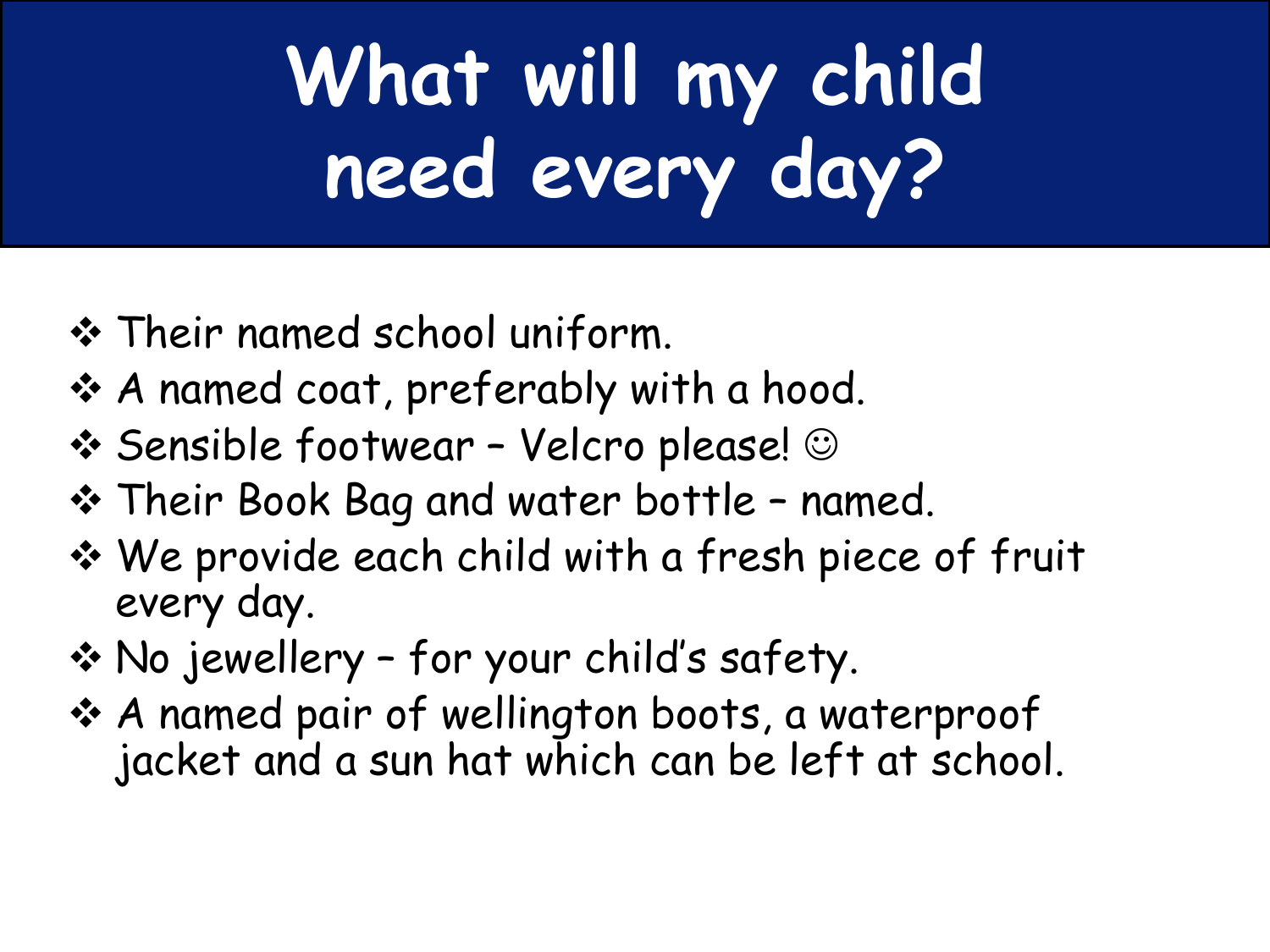# **What will my child need every day?**

- Their named school uniform.
- A named coat, preferably with a hood.
- $\div$  **Sensible footwear Velcro please!** ©
- Their Book Bag and water bottle named.
- We provide each child with a fresh piece of fruit every day.
- No jewellery for your child's safety.
- A named pair of wellington boots, a waterproof jacket and a sun hat which can be left at school.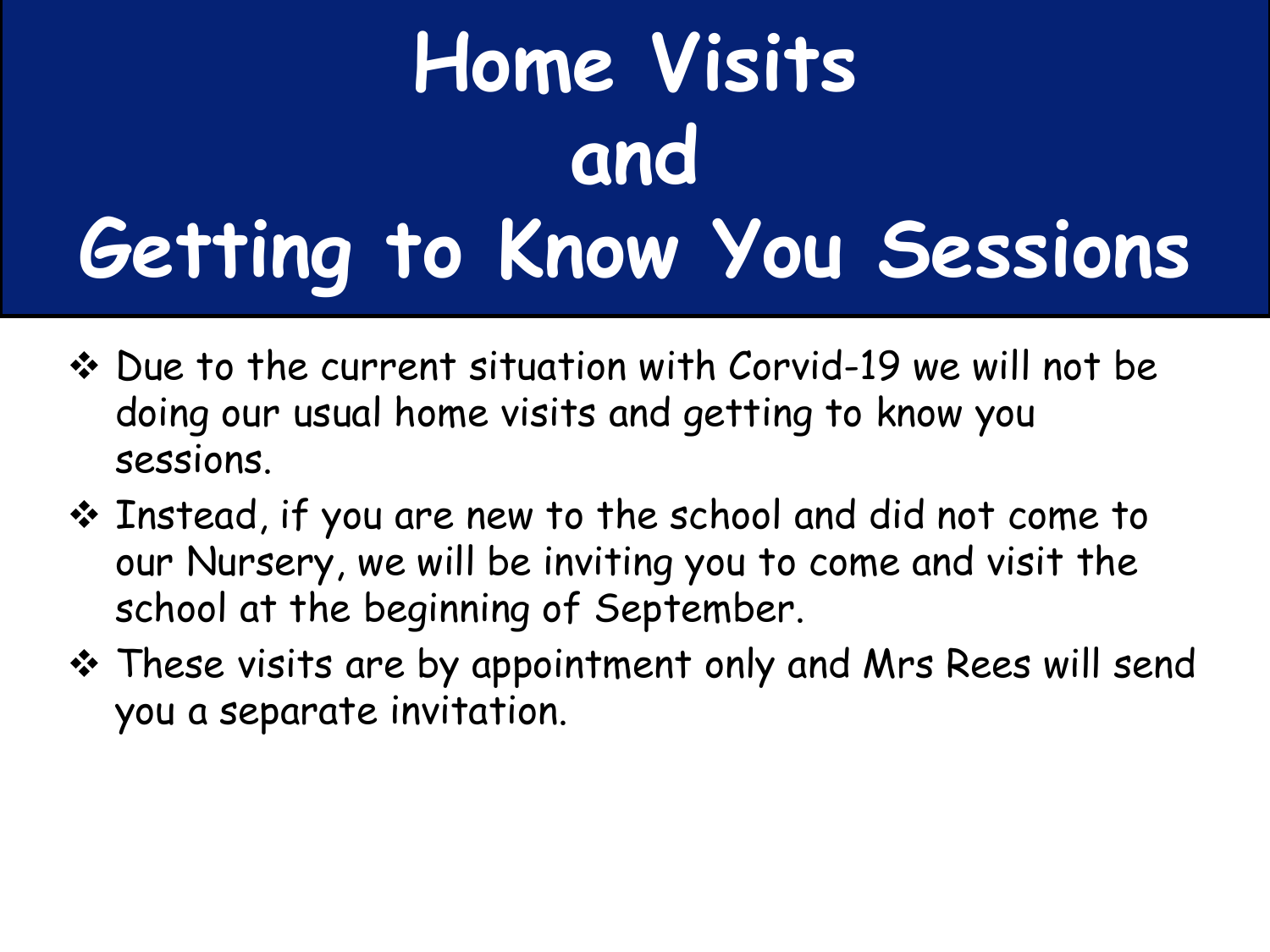## **Home Visits and Getting to Know You Sessions**

- Due to the current situation with Corvid-19 we will not be doing our usual home visits and getting to know you sessions.
- Instead, if you are new to the school and did not come to our Nursery, we will be inviting you to come and visit the school at the beginning of September.
- These visits are by appointment only and Mrs Rees will send you a separate invitation.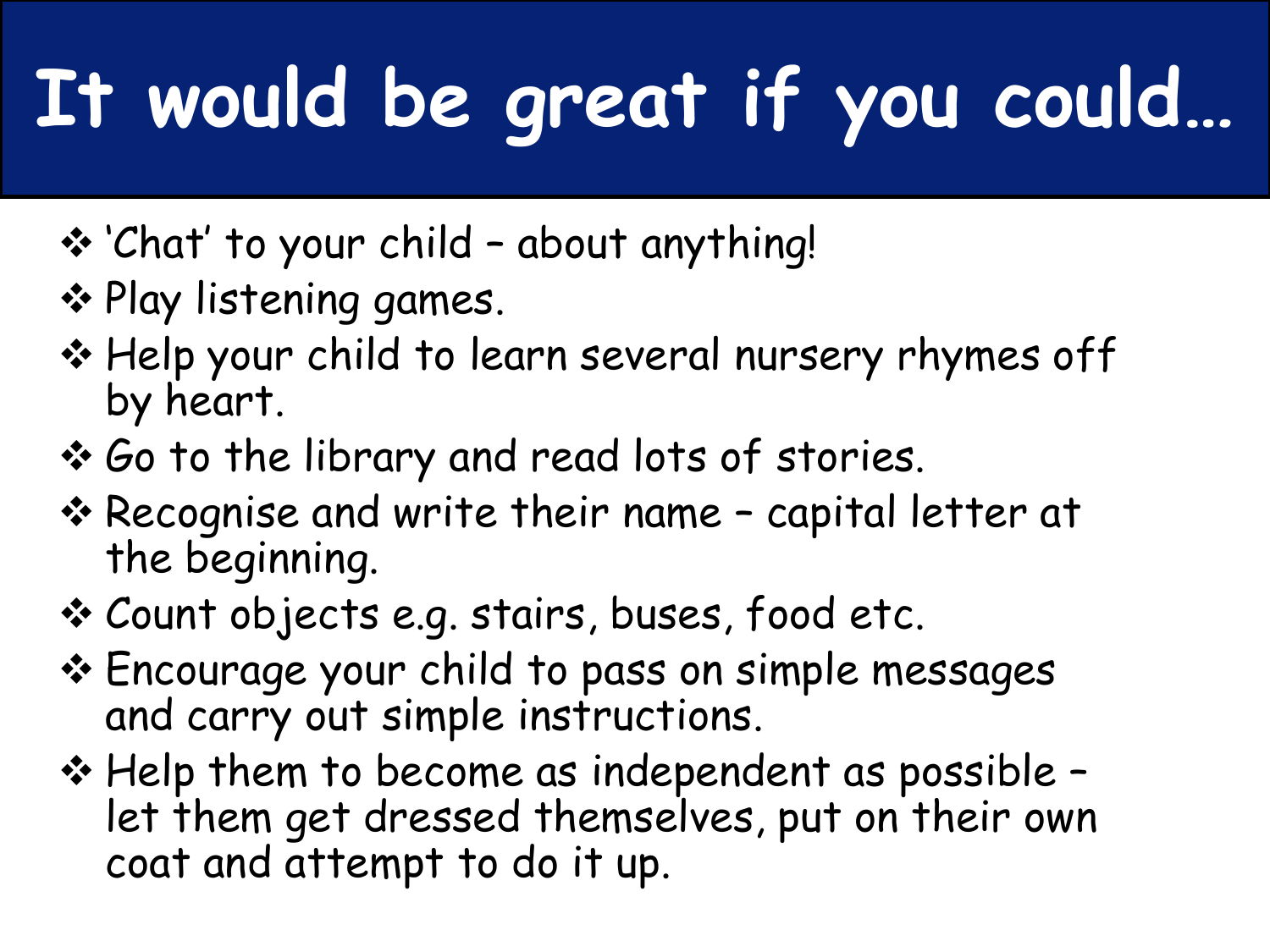# **It would be great if you could…**

- 'Chat' to your child about anything!
- ❖ Play listening games.
- \* Help your child to learn several nursery rhymes off by heart.
- ◆ Go to the library and read lots of stories.
- **\*** Recognise and write their name capital letter at the beginning.
- Count objects e.g. stairs, buses, food etc.
- Encourage your child to pass on simple messages and carry out simple instructions.
- Help them to become as independent as possible let them get dressed themselves, put on their own coat and attempt to do it up.